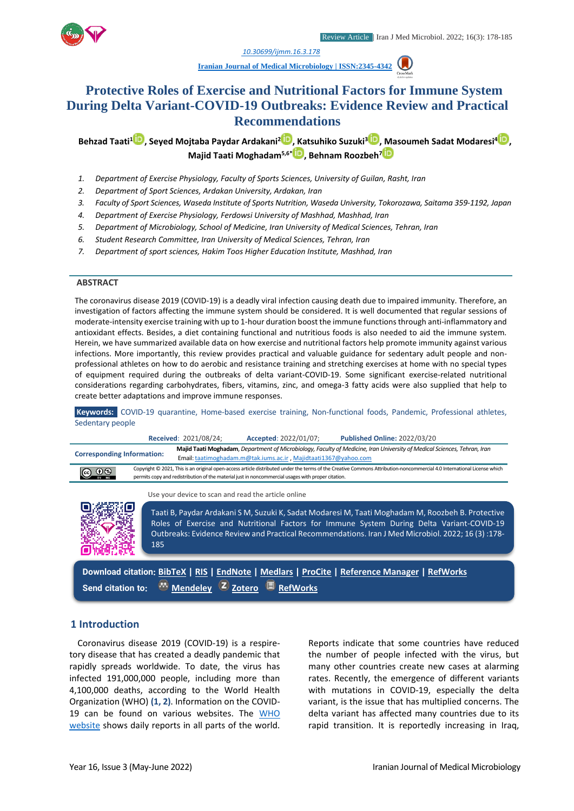

*1. [10.30699/ijmm.16.3.178](http://dx.doi.org/10.30699/ijmm.16.3.178)*

**[Iranian Journal of Medical Microbiology |](https://ijmm.ir/) ISSN:2345-4342**

# **Protective Roles of Exercise and Nutritional Factors for Immune System During Delta Variant-COVID-19 Outbreaks: Evidence Review and Practical Recommendations**

**Behzad Taati<sup>1</sup> [,](http://orcid.org/0000-0002-4171-6895) Seyed Mojtaba Paydar Ardakani[2](http://orcid.org/0000-0002-0272-7882) , Katsuhiko Suzuki<sup>3</sup> [,](http://orcid.org/0000-0002-6572-5809) Masoumeh Sadat Modaresi[4](http://orcid.org/0000-0002-5342-6000) , Majid Taati Moghadam5,6\* [,](http://orcid.org/0000-0003-1557-3648) Behnam Roozbeh[7](http://orcid.org/0000-0003-4945-7004)**

- *1. Department of Exercise Physiology, Faculty of Sports Sciences, University of Guilan, Rasht, Iran*
- *2. Department of Sport Sciences, Ardakan University, Ardakan, Iran*
- *3. Faculty of Sport Sciences, Waseda Institute of Sports Nutrition, Waseda University, Tokorozawa, Saitama 359-1192, Japan*
- *4. Department of Exercise Physiology, Ferdowsi University of Mashhad, Mashhad, Iran*
- *5. Department of Microbiology, School of Medicine, Iran University of Medical Sciences, Tehran, Iran*
- *6. Student Research Committee, Iran University of Medical Sciences, Tehran, Iran*
- *7. Department of sport sciences, Hakim Toos Higher Education Institute, Mashhad, Iran*

#### **ABSTRACT**

The coronavirus disease 2019 (COVID-19) is a deadly viral infection causing death due to impaired immunity. Therefore, an investigation of factors affecting the immune system should be considered. It is well documented that regular sessions of moderate-intensity exercise training with up to 1-hour duration boost the immune functions through anti-inflammatory and antioxidant effects. Besides, a diet containing functional and nutritious foods is also needed to aid the immune system. Herein, we have summarized available data on how exercise and nutritional factors help promote immunity against various infections. More importantly, this review provides practical and valuable guidance for sedentary adult people and nonprofessional athletes on how to do aerobic and resistance training and stretching exercises at home with no special types of equipment required during the outbreaks of delta variant-COVID-19. Some significant exercise-related nutritional considerations regarding carbohydrates, fibers, vitamins, zinc, and omega-3 fatty acids were also supplied that help to create better adaptations and improve immune responses.

**Keywords:** COVID-19 quarantine, Home-based exercise training, Non-functional foods, Pandemic, Professional athletes, Sedentary people



**Send citation to: [Mendeley](http://www.mendeley.com/import/?url=https://ijmm.ir/article-1-1446-en.html) [Zotero](https://ijmm.ir/web2export.php?a_code=A-10-1709-1&sid=1&slc_lang=en&type=ris) [RefWorks](http://www.refworks.com/express/ExpressImport.asp?vendor=Iran-J-Med-Microbiol&filter=RefWorks%20Tagged%20Format&encoding=65001&url=http%3A%2F%2Fijmm.ir%2Farticle-1-1446-en.html)**

## **1 Introduction**

Coronavirus disease 2019 (COVID-19) is a respiretory disease that has created a deadly pandemic that rapidly spreads worldwide. To date, the virus has infected 191,000,000 people, including more than 4,100,000 deaths, according to the World Health Organization (WHO) **(1, 2)**. Information on the COVID-19 can be found on various websites. The [WHO](https://www.who.int/emergencies/diseases/novel-coronavirus-2019/situation-reports)  [website](https://www.who.int/emergencies/diseases/novel-coronavirus-2019/situation-reports) shows daily reports in all parts of the world.

Reports indicate that some countries have reduced the number of people infected with the virus, but many other countries create new cases at alarming rates. Recently, the emergence of different variants with mutations in COVID-19, especially the delta variant, is the issue that has multiplied concerns. The delta variant has affected many countries due to its rapid transition. It is reportedly increasing in Iraq,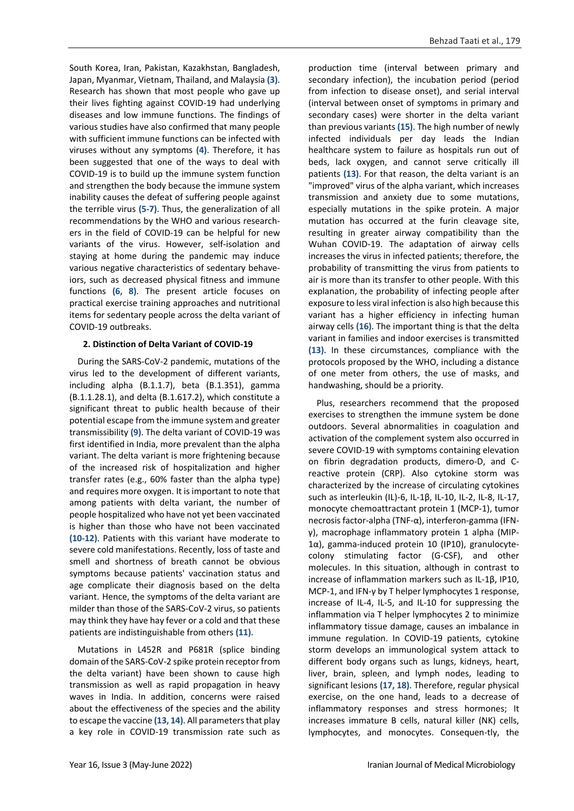South Korea, Iran, Pakistan, Kazakhstan, Bangladesh, Japan, Myanmar, Vietnam, Thailand, and Malaysia **(3)**. Research has shown that most people who gave up their lives fighting against COVID-19 had underlying diseases and low immune functions. The findings of various studies have also confirmed that many people with sufficient immune functions can be infected with viruses without any symptoms **(4)**. Therefore, it has been suggested that one of the ways to deal with COVID-19 is to build up the immune system function and strengthen the body because the immune system inability causes the defeat of suffering people against the terrible virus **(5-7)**. Thus, the generalization of all recommendations by the WHO and various researchers in the field of COVID-19 can be helpful for new variants of the virus. However, self-isolation and staying at home during the pandemic may induce various negative characteristics of sedentary behaveiors, such as decreased physical fitness and immune functions **(6, 8)**. The present article focuses on practical exercise training approaches and nutritional items for sedentary people across the delta variant of COVID-19 outbreaks.

## **2. Distinction of Delta Variant of COVID-19**

During the SARS-CoV-2 pandemic, mutations of the virus led to the development of different variants, including alpha (B.1.1.7), beta (B.1.351), gamma (B.1.1.28.1), and delta (B.1.617.2), which constitute a significant threat to public health because of their potential escape from the immune system and greater transmissibility **(9)**. The delta variant of COVID-19 was first identified in India, more prevalent than the alpha variant. The delta variant is more frightening because of the increased risk of hospitalization and higher transfer rates (e.g., 60% faster than the alpha type) and requires more oxygen. It is important to note that among patients with delta variant, the number of people hospitalized who have not yet been vaccinated is higher than those who have not been vaccinated **(10-12)**. Patients with this variant have moderate to severe cold manifestations. Recently, loss of taste and smell and shortness of breath cannot be obvious symptoms because patients' vaccination status and age complicate their diagnosis based on the delta variant. Hence, the symptoms of the delta variant are milder than those of the SARS-CoV-2 virus, so patients may think they have hay fever or a cold and that these patients are indistinguishable from others **(11)**.

Mutations in L452R and P681R (splice binding domain of the SARS-CoV-2 spike protein receptor from the delta variant) have been shown to cause high transmission as well as rapid propagation in heavy waves in India. In addition, concerns were raised about the effectiveness of the species and the ability to escape the vaccine **(13, 14)**. All parameters that play a key role in COVID-19 transmission rate such as

production time (interval between primary and secondary infection), the incubation period (period from infection to disease onset), and serial interval (interval between onset of symptoms in primary and secondary cases) were shorter in the delta variant than previous variants **(15)**. The high number of newly infected individuals per day leads the Indian healthcare system to failure as hospitals run out of beds, lack oxygen, and cannot serve critically ill patients **(13)**. For that reason, the delta variant is an "improved" virus of the alpha variant, which increases transmission and anxiety due to some mutations, especially mutations in the spike protein. A major mutation has occurred at the furin cleavage site, resulting in greater airway compatibility than the Wuhan COVID-19. The adaptation of airway cells increases the virus in infected patients; therefore, the probability of transmitting the virus from patients to air is more than its transfer to other people. With this explanation, the probability of infecting people after exposure to less viral infection is also high because this variant has a higher efficiency in infecting human airway cells **(16)**. The important thing is that the delta variant in families and indoor exercises is transmitted **(13)**. In these circumstances, compliance with the protocols proposed by the WHO, including a distance of one meter from others, the use of masks, and handwashing, should be a priority.

Plus, researchers recommend that the proposed exercises to strengthen the immune system be done outdoors. Several abnormalities in coagulation and activation of the complement system also occurred in severe COVID-19 with symptoms containing elevation on fibrin degradation products, dimero-D, and Creactive protein (CRP). Also cytokine storm was characterized by the increase of circulating cytokines such as interleukin (IL)-6, IL-1β, IL-10, IL-2, IL-8, IL-17, monocyte chemoattractant protein 1 (MCP-1), tumor necrosis factor-alpha (TNF-α), interferon-gamma (IFNγ), macrophage inflammatory protein 1 alpha (MIP-1α), gamma-induced protein 10 (IP10), granulocytecolony stimulating factor (G-CSF), and other molecules. In this situation, although in contrast to increase of inflammation markers such as IL-1β, IP10, MCP-1, and IFN-γ by T helper lymphocytes 1 response, increase of IL-4, IL-5, and IL-10 for suppressing the inflammation via T helper lymphocytes 2 to minimize inflammatory tissue damage, causes an imbalance in immune regulation. In COVID-19 patients, cytokine storm develops an immunological system attack to different body organs such as lungs, kidneys, heart, liver, brain, spleen, and lymph nodes, leading to significant lesions **(17, 18)**. Therefore, regular physical exercise, on the one hand, leads to a decrease of inflammatory responses and stress hormones; It increases immature B cells, natural killer (NK) cells, lymphocytes, and monocytes. Consequen-tly, the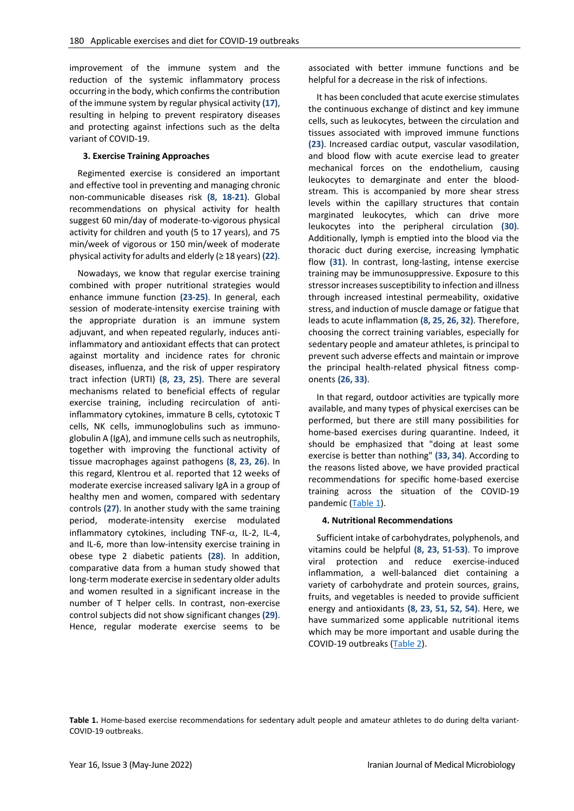improvement of the immune system and the reduction of the systemic inflammatory process occurring in the body, which confirms the contribution of the immune system by regular physical activity **(17)**, resulting in helping to prevent respiratory diseases and protecting against infections such as the delta variant of COVID-19.

#### **3. Exercise Training Approaches**

Regimented exercise is considered an important and effective tool in preventing and managing chronic non-communicable diseases risk **(8, 18-21)**. Global recommendations on physical activity for health suggest 60 min/day of moderate-to-vigorous physical activity for children and youth (5 to 17 years), and 75 min/week of vigorous or 150 min/week of moderate physical activity for adults and elderly (≥ 18 years) **(22)**.

Nowadays, we know that regular exercise training combined with proper nutritional strategies would enhance immune function **(23-25)**. In general, each session of moderate-intensity exercise training with the appropriate duration is an immune system adjuvant, and when repeated regularly, induces antiinflammatory and antioxidant effects that can protect against mortality and incidence rates for chronic diseases, influenza, and the risk of upper respiratory tract infection (URTI) **(8, 23, 25)**. There are several mechanisms related to beneficial effects of regular exercise training, including recirculation of antiinflammatory cytokines, immature B cells, cytotoxic T cells, NK cells, immunoglobulins such as immunoglobulin A (IgA), and immune cells such as neutrophils, together with improving the functional activity of tissue macrophages against pathogens **(8, 23, 26)**. In this regard, Klentrou et al. reported that 12 weeks of moderate exercise increased salivary IgA in a group of healthy men and women, compared with sedentary controls **(27)**. In another study with the same training period, moderate-intensity exercise modulated inflammatory cytokines, including TNF- $\alpha$ , IL-2, IL-4, and IL-6, more than low-intensity exercise training in obese type 2 diabetic patients **(28)**. In addition, comparative data from a human study showed that long-term moderate exercise in sedentary older adults and women resulted in a significant increase in the number of T helper cells. In contrast, non-exercise control subjects did not show significant changes **(29)**. Hence, regular moderate exercise seems to be

associated with better immune functions and be helpful for a decrease in the risk of infections.

It has been concluded that acute exercise stimulates the continuous exchange of distinct and key immune cells, such as leukocytes, between the circulation and tissues associated with improved immune functions **(23)**. Increased cardiac output, vascular vasodilation, and blood flow with acute exercise lead to greater mechanical forces on the endothelium, causing leukocytes to demarginate and enter the bloodstream. This is accompanied by more shear stress levels within the capillary structures that contain marginated leukocytes, which can drive more leukocytes into the peripheral circulation **(30)**. Additionally, lymph is emptied into the blood via the thoracic duct during exercise, increasing lymphatic flow **(31)**. In contrast, long-lasting, intense exercise training may be immunosuppressive. Exposure to this stressor increases susceptibility to infection and illness through increased intestinal permeability, oxidative stress, and induction of muscle damage or fatigue that leads to acute inflammation **(8, 25, 26, 32)**. Therefore, choosing the correct training variables, especially for sedentary people and amateur athletes, is principal to prevent such adverse effects and maintain or improve the principal health-related physical fitness components **(26, 33)**.

In that regard, outdoor activities are typically more available, and many types of physical exercises can be performed, but there are still many possibilities for home-based exercises during quarantine. Indeed, it should be emphasized that "doing at least some exercise is better than nothing" **(33, 34)**. According to the reasons listed above, we have provided practical recommendations for specific home-based exercise training across the situation of the COVID-19 pandemic [\(Table 1\)](#page-2-0).

#### **4. Nutritional Recommendations**

Sufficient intake of carbohydrates, polyphenols, and vitamins could be helpful **(8, 23, 51-53)**. To improve viral protection and reduce exercise-induced inflammation, a well-balanced diet containing a variety of carbohydrate and protein sources, grains, fruits, and vegetables is needed to provide sufficient energy and antioxidants **(8, 23, 51, 52, 54)**. Here, we have summarized some applicable nutritional items which may be more important and usable during the COVID-19 outbreaks [\(Table 2\)](#page-4-0).

<span id="page-2-0"></span>**Table 1.** Home-based exercise recommendations for sedentary adult people and amateur athletes to do during delta variant-COVID-19 outbreaks.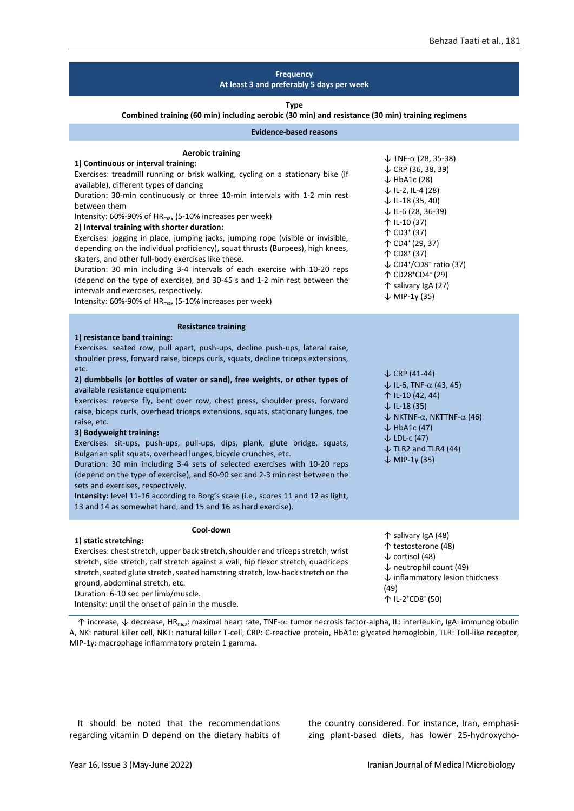#### **Frequency At least 3 and preferably 5 days per week Type Combined training (60 min) including aerobic (30 min) and resistance (30 min) training regimens Evidence-based reasons Aerobic training 1) Continuous or interval training:** Exercises: treadmill running or brisk walking, cycling on a stationary bike (if available), different types of dancing Duration: 30-min continuously or three 10-min intervals with 1-2 min rest between them Intensity: 60%-90% of HRmax (5-10% increases per week) **2) Interval training with shorter duration:** Exercises: jogging in place, jumping jacks, jumping rope (visible or invisible, depending on the individual proficiency), squat thrusts (Burpees), high knees, skaters, and other full-body exercises like these. Duration: 30 min including 3-4 intervals of each exercise with 10-20 reps (depend on the type of exercise), and 30-45 s and 1-2 min rest between the intervals and exercises, respectively. Intensity: 60%-90% of HR<sub>max</sub> (5-10% increases per week)  $\downarrow$  TNF- $\alpha$  (28, 35-38) ↓ CRP (36, 38, 39)  $\downarrow$  HbA1c (28) ↓ IL-2, IL-4 (28) ↓ IL-18 (35, 40) ↓ IL-6 (28, 36-39) ↑ IL-10 (37) ↑ CD3<sup>+</sup> (37) ↑ CD4<sup>+</sup> (29, 37) ↑ CD8<sup>+</sup> (37) ↓ CD4<sup>+</sup>/CD8<sup>+</sup> ratio (37) ↑ CD28<sup>+</sup>CD4<sup>+</sup>(29) ↑ salivary IgA (27)  $\downarrow$  MIP-1γ (35) **Resistance training 1) resistance band training:** Exercises: seated row, pull apart, push-ups, decline push-ups, lateral raise, shoulder press, forward raise, biceps curls, squats, decline triceps extensions, etc. **2) dumbbells (or bottles of water or sand), free weights, or other types of**  available resistance equipment: Exercises: reverse fly, bent over row, chest press, shoulder press, forward raise, biceps curls, overhead triceps extensions, squats, stationary lunges, toe raise, etc. **3) Bodyweight training:** Exercises: sit-ups, push-ups, pull-ups, dips, plank, glute bridge, squats, Bulgarian split squats, overhead lunges, bicycle crunches, etc. Duration: 30 min including 3-4 sets of selected exercises with 10-20 reps (depend on the type of exercise), and 60-90 sec and 2-3 min rest between the sets and exercises, respectively. **Intensity:** level 11-16 according to Borg's scale (i.e., scores 11 and 12 as light, 13 and 14 as somewhat hard, and 15 and 16 as hard exercise).  $\downarrow$  CRP (41-44)  $\downarrow$  IL-6, TNF- $\alpha$  (43, 45) ↑ IL-10 (42, 44) ↓ IL-18 (35)  $\downarrow$  NKTNF- $\alpha$ , NKTTNF- $\alpha$  (46)  $\downarrow$  HbA1c (47) ↓ LDL-c (47)  $\downarrow$  TLR2 and TLR4 (44)  $\downarrow$  MIP-1y (35) **Cool-down 1) static stretching:** Exercises: chest stretch, upper back stretch, shoulder and triceps stretch, wrist stretch, side stretch, calf stretch against a wall, hip flexor stretch, quadriceps stretch, seated glute stretch, seated hamstring stretch, low-back stretch on the ↑ salivary IgA (48) ↑ testosterone (48) ↓ cortisol (48) ↓ neutrophil count (49) ↓ inflammatory lesion thickness

ground, abdominal stretch, etc. Duration: 6-10 sec per limb/muscle.

Intensity: until the onset of pain in the muscle.

↑ increase, ↓ decrease, HR<sub>max</sub>: maximal heart rate, TNF-α: tumor necrosis factor-alpha, IL: interleukin, IgA: immunoglobulin A, NK: natural killer cell, NKT: natural killer T-cell, CRP: C-reactive protein, HbA1c: glycated hemoglobin, TLR: Toll-like receptor, MIP-1γ: macrophage inflammatory protein 1 gamma.

It should be noted that the recommendations regarding vitamin D depend on the dietary habits of the country considered. For instance, Iran, emphasizing plant-based diets, has lower 25-hydroxycho-

(49)

↑ IL-2 <sup>+</sup>CD8<sup>+</sup>(50)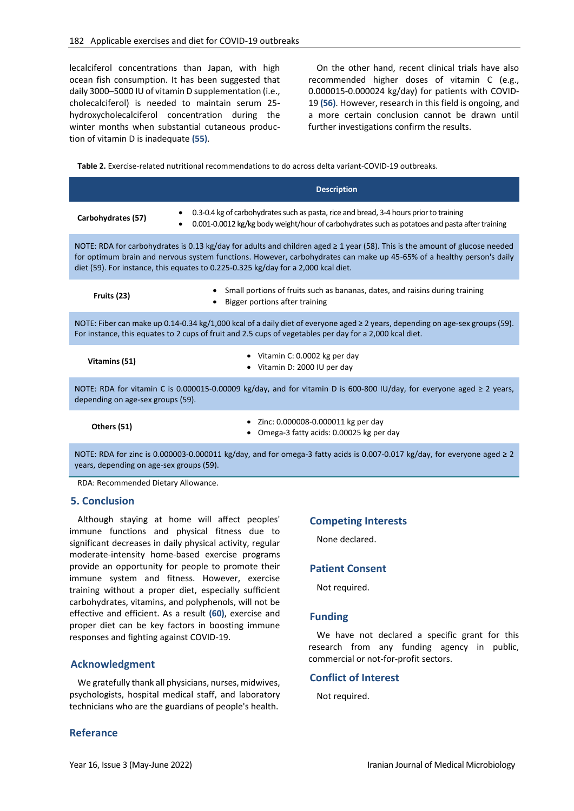lecalciferol concentrations than Japan, with high ocean fish consumption. It has been suggested that daily 3000–5000 IU of vitamin D supplementation (i.e., cholecalciferol) is needed to maintain serum 25 hydroxycholecalciferol concentration during the winter months when substantial cutaneous production of vitamin D is inadequate **(55)**.

On the other hand, recent clinical trials have also recommended higher doses of vitamin C (e.g., 0.000015-0.000024 kg/day) for patients with COVID-19 **(56)**. However, research in this field is ongoing, and a more certain conclusion cannot be drawn until further investigations confirm the results.

<span id="page-4-0"></span>**Table 2.** Exercise-related nutritional recommendations to do across delta variant-COVID-19 outbreaks.

|                                                                                                                                                                                                                                                                                                                                                 | <b>Description</b>                                                                                                                                                                                                 |
|-------------------------------------------------------------------------------------------------------------------------------------------------------------------------------------------------------------------------------------------------------------------------------------------------------------------------------------------------|--------------------------------------------------------------------------------------------------------------------------------------------------------------------------------------------------------------------|
| Carbohydrates (57)                                                                                                                                                                                                                                                                                                                              | 0.3-0.4 kg of carbohydrates such as pasta, rice and bread, 3-4 hours prior to training<br>$\bullet$<br>0.001-0.0012 kg/kg body weight/hour of carbohydrates such as potatoes and pasta after training<br>$\bullet$ |
| NOTE: RDA for carbohydrates is 0.13 kg/day for adults and children aged $\geq 1$ year (58). This is the amount of glucose needed<br>for optimum brain and nervous system functions. However, carbohydrates can make up 45-65% of a healthy person's daily<br>diet (59). For instance, this equates to 0.225-0.325 kg/day for a 2,000 kcal diet. |                                                                                                                                                                                                                    |
| Fruits (23)                                                                                                                                                                                                                                                                                                                                     | Small portions of fruits such as bananas, dates, and raisins during training<br>Bigger portions after training                                                                                                     |
| NOTE: Fiber can make up 0.14-0.34 kg/1,000 kcal of a daily diet of everyone aged ≥ 2 years, depending on age-sex groups (59).<br>For instance, this equates to 2 cups of fruit and 2.5 cups of vegetables per day for a 2,000 kcal diet.                                                                                                        |                                                                                                                                                                                                                    |
| Vitamins (51)                                                                                                                                                                                                                                                                                                                                   | Vitamin C: 0.0002 kg per day<br>Vitamin D: 2000 IU per day                                                                                                                                                         |
| NOTE: RDA for vitamin C is 0.000015-0.00009 kg/day, and for vitamin D is 600-800 IU/day, for everyone aged $\geq 2$ years,<br>depending on age-sex groups (59).                                                                                                                                                                                 |                                                                                                                                                                                                                    |
| Others (51)                                                                                                                                                                                                                                                                                                                                     | Zinc: 0.000008-0.000011 kg per day<br>Omega-3 fatty acids: 0.00025 kg per day                                                                                                                                      |
|                                                                                                                                                                                                                                                                                                                                                 |                                                                                                                                                                                                                    |

NOTE: RDA for zinc is 0.000003-0.000011 kg/day, and for omega-3 fatty acids is 0.007-0.017 kg/day, for everyone aged ≥ 2 years, depending on age-sex groups (59).

RDA: Recommended Dietary Allowance.

## **5. Conclusion**

Although staying at home will affect peoples' immune functions and physical fitness due to significant decreases in daily physical activity, regular moderate-intensity home-based exercise programs provide an opportunity for people to promote their immune system and fitness. However, exercise training without a proper diet, especially sufficient carbohydrates, vitamins, and polyphenols, will not be effective and efficient. As a result **(60)**, exercise and proper diet can be key factors in boosting immune responses and fighting against COVID-19.

# **Acknowledgment**

We gratefully thank all physicians, nurses, midwives, psychologists, hospital medical staff, and laboratory technicians who are the guardians of people's health.

# **Referance**

# **Competing Interests**

None declared.

## **Patient Consent**

Not required.

## **Funding**

We have not declared a specific grant for this research from any funding agency in public, commercial or not-for-profit sectors.

#### **Conflict of Interest**

Not required.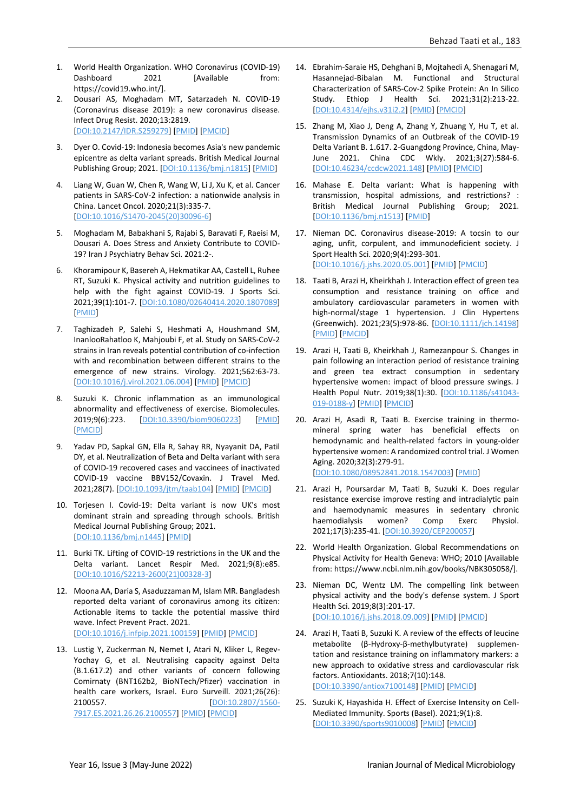- 1. World Health Organization. WHO Coronavirus (COVID-19) Dashboard 2021 [Available from: https://covid19.who.int/].
- 2. Dousari AS, Moghadam MT, Satarzadeh N. COVID-19 (Coronavirus disease 2019): a new coronavirus disease. Infect Drug Resist. 2020;13:2819. [\[DOI:10.2147/IDR.S259279\]](https://doi.org/10.2147/IDR.S259279) [\[PMID\]](https://www.ncbi.nlm.nih.gov/pubmed/32848431) [\[PMCID\]](http://www.ncbi.nlm.nih.gov/pmc/articles/PMC7429403)
- 3. Dyer O. Covid-19: Indonesia becomes Asia's new pandemic epicentre as delta variant spreads. British Medical Journal Publishing Group; 2021. [\[DOI:10.1136/bmj.n1815\]](https://doi.org/10.1136/bmj.n1815) [\[PMID\]](https://www.ncbi.nlm.nih.gov/pubmed/34272255)
- 4. Liang W, Guan W, Chen R, Wang W, Li J, Xu K, et al. Cancer patients in SARS-CoV-2 infection: a nationwide analysis in China. Lancet Oncol. 2020;21(3):335-7. [\[DOI:10.1016/S1470-2045\(20\)30096-6\]](https://doi.org/10.1016/S1470-2045(20)30096-6)
- 5. Moghadam M, Babakhani S, Rajabi S, Baravati F, Raeisi M, Dousari A. Does Stress and Anxiety Contribute to COVID-19? Iran J Psychiatry Behav Sci. 2021:2-.
- 6. Khoramipour K, Basereh A, Hekmatikar AA, Castell L, Ruhee RT, Suzuki K. Physical activity and nutrition guidelines to help with the fight against COVID-19. J Sports Sci. 2021;39(1):101-7. [\[DOI:10.1080/02640414.2020.1807089\]](https://doi.org/10.1080/02640414.2020.1807089) [\[PMID\]](https://www.ncbi.nlm.nih.gov/pubmed/32842905)
- 7. Taghizadeh P, Salehi S, Heshmati A, Houshmand SM, InanlooRahatloo K, Mahjoubi F, et al. Study on SARS-CoV-2 strains in Iran reveals potential contribution of co-infection with and recombination between different strains to the emergence of new strains. Virology. 2021;562:63-73. [\[DOI:10.1016/j.virol.2021.06.004\]](https://doi.org/10.1016/j.virol.2021.06.004) [\[PMID\]](https://www.ncbi.nlm.nih.gov/pubmed/34265628) [\[PMCID\]](http://www.ncbi.nlm.nih.gov/pmc/articles/PMC8214199)
- 8. Suzuki K. Chronic inflammation as an immunological abnormality and effectiveness of exercise. Biomolecules. 2019;9(6):223. [\[DOI:10.3390/biom9060223\]](https://doi.org/10.3390/biom9060223) [\[PMID\]](https://www.ncbi.nlm.nih.gov/pubmed/31181700) [\[PMCID\]](http://www.ncbi.nlm.nih.gov/pmc/articles/PMC6628010)
- 9. Yadav PD, Sapkal GN, Ella R, Sahay RR, Nyayanit DA, Patil DY, et al. Neutralization of Beta and Delta variant with sera of COVID-19 recovered cases and vaccinees of inactivated COVID-19 vaccine BBV152/Covaxin. J Travel Med. 2021;28(7). [\[DOI:10.1093/jtm/taab104\]](https://doi.org/10.1093/jtm/taab104) [\[PMID\]](https://www.ncbi.nlm.nih.gov/pubmed/34230972) [\[PMCID\]](http://www.ncbi.nlm.nih.gov/pmc/articles/PMC8344909)
- 10. Torjesen I. Covid-19: Delta variant is now UK's most dominant strain and spreading through schools. British Medical Journal Publishing Group; 2021. [\[DOI:10.1136/bmj.n1445\]](https://doi.org/10.1136/bmj.n1445) [\[PMID\]](https://www.ncbi.nlm.nih.gov/pubmed/34088699)
- 11. Burki TK. Lifting of COVID-19 restrictions in the UK and the Delta variant. Lancet Respir Med. 2021;9(8):e85. [\[DOI:10.1016/S2213-2600\(21\)00328-3\]](https://doi.org/10.1016/S2213-2600(21)00328-3)
- 12. Moona AA, Daria S, Asaduzzaman M, Islam MR. Bangladesh reported delta variant of coronavirus among its citizen: Actionable items to tackle the potential massive third wave. Infect Prevent Pract. 2021. [\[DOI:10.1016/j.infpip.2021.100159\]](https://doi.org/10.1016/j.infpip.2021.100159) [\[PMID\]](https://www.ncbi.nlm.nih.gov/pubmed/34316588) [\[PMCID\]](http://www.ncbi.nlm.nih.gov/pmc/articles/PMC8239335)
- 13. Lustig Y, Zuckerman N, Nemet I, Atari N, Kliker L, Regev-Yochay G, et al. Neutralising capacity against Delta (B.1.617.2) and other variants of concern following Comirnaty (BNT162b2, BioNTech/Pfizer) vaccination in health care workers, Israel. Euro Surveill. 2021;26(26): 2100557. [\[DOI:10.2807/1560-](https://doi.org/10.2807/1560-7917.ES.2021.26.26.2100557) [7917.ES.2021.26.26.2100557\]](https://doi.org/10.2807/1560-7917.ES.2021.26.26.2100557) [\[PMID\]](https://www.ncbi.nlm.nih.gov/pubmed/34212838) [\[PMCID\]](http://www.ncbi.nlm.nih.gov/pmc/articles/PMC8326656)
- 14. Ebrahim-Saraie HS, Dehghani B, Mojtahedi A, Shenagari M, Hasannejad-Bibalan M. Functional and Structural Characterization of SARS-Cov-2 Spike Protein: An In Silico Study. Ethiop J Health Sci. 2021;31(2):213-22. [\[DOI:10.4314/ejhs.v31i2.2\]](https://doi.org/10.4314/ejhs.v31i2.2) [\[PMID\]](https://www.ncbi.nlm.nih.gov/pubmed/34158771) [\[PMCID\]](http://www.ncbi.nlm.nih.gov/pmc/articles/PMC8188087)
- 15. Zhang M, Xiao J, Deng A, Zhang Y, Zhuang Y, Hu T, et al. Transmission Dynamics of an Outbreak of the COVID-19 Delta Variant B. 1.617. 2-Guangdong Province, China, May-June 2021. China CDC Wkly. 2021;3(27):584-6. [\[DOI:10.46234/ccdcw2021.148\]](https://doi.org/10.46234/ccdcw2021.148) [\[PMID\]](https://www.ncbi.nlm.nih.gov/pubmed/34594941) [\[PMCID\]](http://www.ncbi.nlm.nih.gov/pmc/articles/PMC8392962)
- 16. Mahase E. Delta variant: What is happening with transmission, hospital admissions, and restrictions? : British Medical Journal Publishing Group; 2021. [\[DOI:10.1136/bmj.n1513\]](https://doi.org/10.1136/bmj.n1513) [\[PMID\]](https://www.ncbi.nlm.nih.gov/pubmed/34130949)
- 17. Nieman DC. Coronavirus disease-2019: A tocsin to our aging, unfit, corpulent, and immunodeficient society. J Sport Health Sci. 2020;9(4):293-301. [\[DOI:10.1016/j.jshs.2020.05.001\]](https://doi.org/10.1016/j.jshs.2020.05.001) [\[PMID\]](https://www.ncbi.nlm.nih.gov/pubmed/32389882) [\[PMCID\]](http://www.ncbi.nlm.nih.gov/pmc/articles/PMC7205734)
- 18. Taati B, Arazi H, Kheirkhah J. Interaction effect of green tea consumption and resistance training on office and ambulatory cardiovascular parameters in women with high-normal/stage 1 hypertension. J Clin Hypertens (Greenwich). 2021;23(5):978-86. [\[DOI:10.1111/jch.14198\]](https://doi.org/10.1111/jch.14198) [\[PMID\]](https://www.ncbi.nlm.nih.gov/pubmed/33491287) [\[PMCID\]](http://www.ncbi.nlm.nih.gov/pmc/articles/PMC8678800)
- 19. Arazi H, Taati B, Kheirkhah J, Ramezanpour S. Changes in pain following an interaction period of resistance training and green tea extract consumption in sedentary hypertensive women: impact of blood pressure swings. J Health Popul Nutr. 2019;38(1):30. [\[DOI:10.1186/s41043-](https://doi.org/10.1186/s41043-019-0188-y) [019-0188-y\]](https://doi.org/10.1186/s41043-019-0188-y) [\[PMID\]](https://www.ncbi.nlm.nih.gov/pubmed/31672172) [\[PMCID\]](http://www.ncbi.nlm.nih.gov/pmc/articles/PMC6824015)
- 20. Arazi H, Asadi R, Taati B. Exercise training in thermomineral spring water has beneficial effects on hemodynamic and health-related factors in young-older hypertensive women: A randomized control trial. J Women Aging. 2020;32(3):279-91. [\[DOI:10.1080/08952841.2018.1547003\]](https://doi.org/10.1080/08952841.2018.1547003) [\[PMID\]](https://www.ncbi.nlm.nih.gov/pubmed/30465635)
- 21. Arazi H, Poursardar M, Taati B, Suzuki K. Does regular resistance exercise improve resting and intradialytic pain and haemodynamic measures in sedentary chronic haemodialysis women? Comp Exerc Physiol. 2021;17(3):235-41. [\[DOI:10.3920/CEP200057\]](https://doi.org/10.3920/CEP200057)
- 22. World Health Organization. Global Recommendations on Physical Activity for Health Geneva: WHO; 2010 [Available from: https://www.ncbi.nlm.nih.gov/books/NBK305058/].
- 23. Nieman DC, Wentz LM. The compelling link between physical activity and the body's defense system. J Sport Health Sci. 2019;8(3):201-17. [\[DOI:10.1016/j.jshs.2018.09.009\]](https://doi.org/10.1016/j.jshs.2018.09.009) [\[PMID\]](https://www.ncbi.nlm.nih.gov/pubmed/31193280) [\[PMCID\]](http://www.ncbi.nlm.nih.gov/pmc/articles/PMC6523821)
- 24. Arazi H, Taati B, Suzuki K. A review of the effects of leucine metabolite (β-Hydroxy-β-methylbutyrate) supplementation and resistance training on inflammatory markers: a new approach to oxidative stress and cardiovascular risk factors. Antioxidants. 2018;7(10):148. [\[DOI:10.3390/antiox7100148\]](https://doi.org/10.3390/antiox7100148) [\[PMID\]](https://www.ncbi.nlm.nih.gov/pubmed/30347824) [\[PMCID\]](http://www.ncbi.nlm.nih.gov/pmc/articles/PMC6210682)
- 25. Suzuki K, Hayashida H. Effect of Exercise Intensity on Cell-Mediated Immunity. Sports (Basel). 2021;9(1):8. [\[DOI:10.3390/sports9010008\]](https://doi.org/10.3390/sports9010008) [\[PMID\]](https://www.ncbi.nlm.nih.gov/pubmed/33440732) [\[PMCID\]](http://www.ncbi.nlm.nih.gov/pmc/articles/PMC7826544)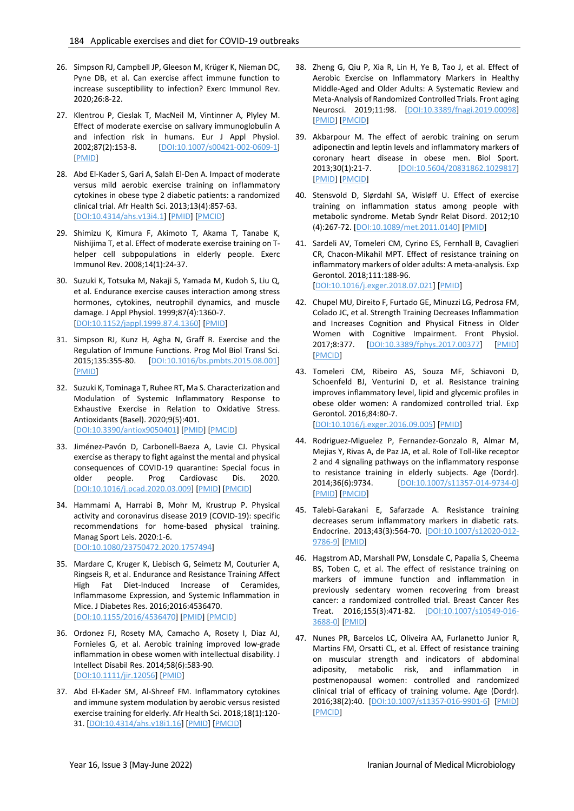- 26. Simpson RJ, Campbell JP, Gleeson M, Krüger K, Nieman DC, Pyne DB, et al. Can exercise affect immune function to increase susceptibility to infection? Exerc Immunol Rev. 2020;26:8-22.
- 27. Klentrou P, Cieslak T, MacNeil M, Vintinner A, Plyley M. Effect of moderate exercise on salivary immunoglobulin A and infection risk in humans. Eur J Appl Physiol. 2002;87(2):153-8. [\[DOI:10.1007/s00421-002-0609-1\]](https://doi.org/10.1007/s00421-002-0609-1) [\[PMID\]](https://www.ncbi.nlm.nih.gov/pubmed/12070626)
- 28. Abd El-Kader S, Gari A, Salah El-Den A. Impact of moderate versus mild aerobic exercise training on inflammatory cytokines in obese type 2 diabetic patients: a randomized clinical trial. Afr Health Sci. 2013;13(4):857-63. [\[DOI:10.4314/ahs.v13i4.1\]](https://doi.org/10.4314/ahs.v13i4.1) [\[PMID\]](https://www.ncbi.nlm.nih.gov/pubmed/24940305) [\[PMCID\]](http://www.ncbi.nlm.nih.gov/pmc/articles/PMC4056484)
- 29. Shimizu K, Kimura F, Akimoto T, Akama T, Tanabe K, Nishijima T, et al. Effect of moderate exercise training on Thelper cell subpopulations in elderly people. Exerc Immunol Rev. 2008;14(1):24-37.
- 30. Suzuki K, Totsuka M, Nakaji S, Yamada M, Kudoh S, Liu Q, et al. Endurance exercise causes interaction among stress hormones, cytokines, neutrophil dynamics, and muscle damage. J Appl Physiol. 1999;87(4):1360-7. [\[DOI:10.1152/jappl.1999.87.4.1360\]](https://doi.org/10.1152/jappl.1999.87.4.1360) [\[PMID\]](https://www.ncbi.nlm.nih.gov/pubmed/10517764)
- 31. Simpson RJ, Kunz H, Agha N, Graff R. Exercise and the Regulation of Immune Functions. Prog Mol Biol Transl Sci. 2015;135:355-80. [\[DOI:10.1016/bs.pmbts.2015.08.001\]](https://doi.org/10.1016/bs.pmbts.2015.08.001) [\[PMID\]](https://www.ncbi.nlm.nih.gov/pubmed/26477922)
- 32. Suzuki K, Tominaga T, Ruhee RT, Ma S. Characterization and Modulation of Systemic Inflammatory Response to Exhaustive Exercise in Relation to Oxidative Stress. Antioxidants (Basel). 2020;9(5):401. [\[DOI:10.3390/antiox9050401\]](https://doi.org/10.3390/antiox9050401) [\[PMID\]](https://www.ncbi.nlm.nih.gov/pubmed/32397304) [\[PMCID\]](http://www.ncbi.nlm.nih.gov/pmc/articles/PMC7278761)
- 33. Jiménez-Pavón D, Carbonell-Baeza A, Lavie CJ. Physical exercise as therapy to fight against the mental and physical consequences of COVID-19 quarantine: Special focus in older people. Prog Cardiovasc Dis. 2020. [\[DOI:10.1016/j.pcad.2020.03.009\]](https://doi.org/10.1016/j.pcad.2020.03.009) [\[PMID\]](https://www.ncbi.nlm.nih.gov/pubmed/32220590) [\[PMCID\]](http://www.ncbi.nlm.nih.gov/pmc/articles/PMC7118448)
- 34. Hammami A, Harrabi B, Mohr M, Krustrup P. Physical activity and coronavirus disease 2019 (COVID-19): specific recommendations for home-based physical training. Manag Sport Leis. 2020:1-6. [\[DOI:10.1080/23750472.2020.1757494\]](https://doi.org/10.1080/23750472.2020.1757494)
- 35. Mardare C, Kruger K, Liebisch G, Seimetz M, Couturier A, Ringseis R, et al. Endurance and Resistance Training Affect High Fat Diet-Induced Increase of Ceramides, Inflammasome Expression, and Systemic Inflammation in Mice. J Diabetes Res. 2016;2016:4536470. [\[DOI:10.1155/2016/4536470\]](https://doi.org/10.1155/2016/4536470) [\[PMID\]](https://www.ncbi.nlm.nih.gov/pubmed/26788518) [\[PMCID\]](http://www.ncbi.nlm.nih.gov/pmc/articles/PMC4691630)
- 36. Ordonez FJ, Rosety MA, Camacho A, Rosety I, Diaz AJ, Fornieles G, et al. Aerobic training improved low-grade inflammation in obese women with intellectual disability. J Intellect Disabil Res. 2014;58(6):583-90. [\[DOI:10.1111/jir.12056\]](https://doi.org/10.1111/jir.12056) [\[PMID\]](https://www.ncbi.nlm.nih.gov/pubmed/23742222)
- 37. Abd El-Kader SM, Al-Shreef FM. Inflammatory cytokines and immune system modulation by aerobic versus resisted exercise training for elderly. Afr Health Sci. 2018;18(1):120- 31. [\[DOI:10.4314/ahs.v18i1.16\]](https://doi.org/10.4314/ahs.v18i1.16) [\[PMID\]](https://www.ncbi.nlm.nih.gov/pubmed/29977265) [\[PMCID\]](http://www.ncbi.nlm.nih.gov/pmc/articles/PMC6016983)
- 38. Zheng G, Qiu P, Xia R, Lin H, Ye B, Tao J, et al. Effect of Aerobic Exercise on Inflammatory Markers in Healthy Middle-Aged and Older Adults: A Systematic Review and Meta-Analysis of Randomized Controlled Trials. Front aging Neurosci. 2019;11:98. [\[DOI:10.3389/fnagi.2019.00098\]](https://doi.org/10.3389/fnagi.2019.00098) [\[PMID\]](https://www.ncbi.nlm.nih.gov/pubmed/31080412) [\[PMCID\]](http://www.ncbi.nlm.nih.gov/pmc/articles/PMC6497785)
- 39. Akbarpour M. The effect of aerobic training on serum adiponectin and leptin levels and inflammatory markers of coronary heart disease in obese men. Biol Sport. 2013;30(1):21-7. [\[DOI:10.5604/20831862.1029817\]](https://doi.org/10.5604/20831862.1029817) [\[PMID\]](https://www.ncbi.nlm.nih.gov/pubmed/24744461) [\[PMCID\]](http://www.ncbi.nlm.nih.gov/pmc/articles/PMC3944554)
- 40. Stensvold D, Slørdahl SA, Wisløff U. Effect of exercise training on inflammation status among people with metabolic syndrome. Metab Syndr Relat Disord. 2012;10 (4):267-72. [\[DOI:10.1089/met.2011.0140\]](https://doi.org/10.1089/met.2011.0140) [\[PMID\]](https://www.ncbi.nlm.nih.gov/pubmed/22455564)
- 41. Sardeli AV, Tomeleri CM, Cyrino ES, Fernhall B, Cavaglieri CR, Chacon-Mikahil MPT. Effect of resistance training on inflammatory markers of older adults: A meta-analysis. Exp Gerontol. 2018;111:188-96. [\[DOI:10.1016/j.exger.2018.07.021\]](https://doi.org/10.1016/j.exger.2018.07.021) [\[PMID\]](https://www.ncbi.nlm.nih.gov/pubmed/30071283)
- 42. Chupel MU, Direito F, Furtado GE, Minuzzi LG, Pedrosa FM, Colado JC, et al. Strength Training Decreases Inflammation and Increases Cognition and Physical Fitness in Older Women with Cognitive Impairment. Front Physiol. 2017;8:377. [\[DOI:10.3389/fphys.2017.00377\]](https://doi.org/10.3389/fphys.2017.00377) [\[PMID\]](https://www.ncbi.nlm.nih.gov/pubmed/28659812) [\[PMCID\]](http://www.ncbi.nlm.nih.gov/pmc/articles/PMC5467003)
- 43. Tomeleri CM, Ribeiro AS, Souza MF, Schiavoni D, Schoenfeld BJ, Venturini D, et al. Resistance training improves inflammatory level, lipid and glycemic profiles in obese older women: A randomized controlled trial. Exp Gerontol. 2016;84:80-7. [\[DOI:10.1016/j.exger.2016.09.005\]](https://doi.org/10.1016/j.exger.2016.09.005) [\[PMID\]](https://www.ncbi.nlm.nih.gov/pubmed/27616162)
- 44. Rodriguez-Miguelez P, Fernandez-Gonzalo R, Almar M, Mejias Y, Rivas A, de Paz JA, et al. Role of Toll-like receptor 2 and 4 signaling pathways on the inflammatory response to resistance training in elderly subjects. Age (Dordr). 2014;36(6):9734. [\[DOI:10.1007/s11357-014-9734-0\]](https://doi.org/10.1007/s11357-014-9734-0) [\[PMID\]](https://www.ncbi.nlm.nih.gov/pubmed/25427999) [\[PMCID\]](http://www.ncbi.nlm.nih.gov/pmc/articles/PMC4245402)
- 45. Talebi-Garakani E, Safarzade A. Resistance training decreases serum inflammatory markers in diabetic rats. Endocrine. 2013;43(3):564-70. [\[DOI:10.1007/s12020-012-](https://doi.org/10.1007/s12020-012-9786-9) [9786-9\]](https://doi.org/10.1007/s12020-012-9786-9) [\[PMID\]](https://www.ncbi.nlm.nih.gov/pubmed/22948775)
- 46. Hagstrom AD, Marshall PW, Lonsdale C, Papalia S, Cheema BS, Toben C, et al. The effect of resistance training on markers of immune function and inflammation in previously sedentary women recovering from breast cancer: a randomized controlled trial. Breast Cancer Res Treat. 2016;155(3):471-82. [\[DOI:10.1007/s10549-016-](https://doi.org/10.1007/s10549-016-3688-0) [3688-0\]](https://doi.org/10.1007/s10549-016-3688-0) [\[PMID\]](https://www.ncbi.nlm.nih.gov/pubmed/26820653)
- 47. Nunes PR, Barcelos LC, Oliveira AA, Furlanetto Junior R, Martins FM, Orsatti CL, et al. Effect of resistance training on muscular strength and indicators of abdominal adiposity, metabolic risk, and inflammation in postmenopausal women: controlled and randomized clinical trial of efficacy of training volume. Age (Dordr). 2016;38(2):40. [\[DOI:10.1007/s11357-016-9901-6\]](https://doi.org/10.1007/s11357-016-9901-6) [\[PMID\]](https://www.ncbi.nlm.nih.gov/pubmed/26984105) [\[PMCID\]](http://www.ncbi.nlm.nih.gov/pmc/articles/PMC5005909)